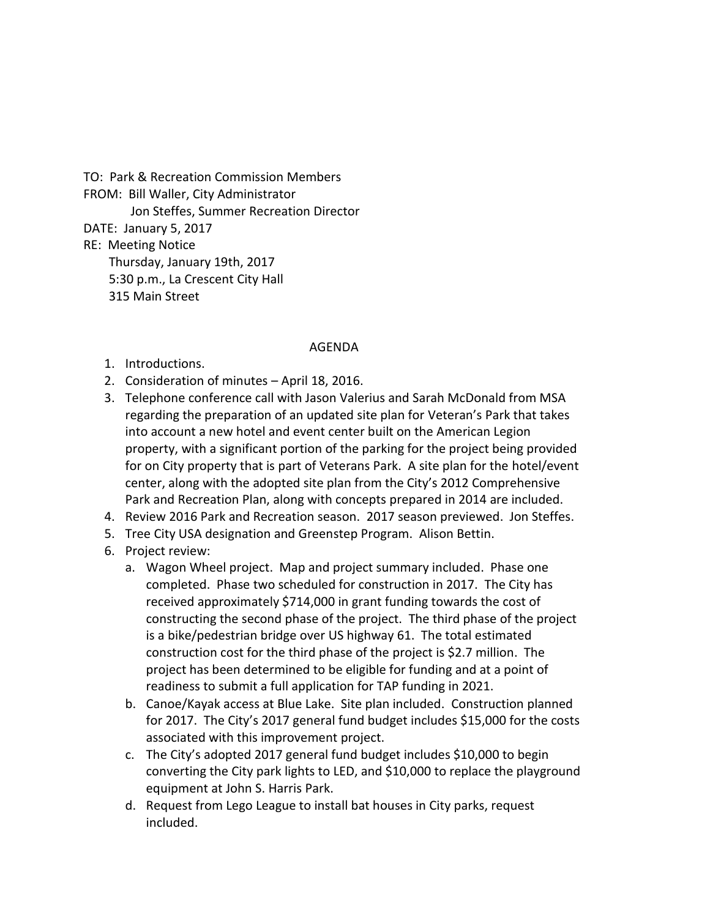TO: Park & Recreation Commission Members

FROM: Bill Waller, City Administrator

Jon Steffes, Summer Recreation Director

DATE: January 5, 2017

RE: Meeting Notice

 Thursday, January 19th, 2017 5:30 p.m., La Crescent City Hall 315 Main Street

## AGENDA

- 1. Introductions.
- 2. Consideration of minutes April 18, 2016.
- 3. Telephone conference call with Jason Valerius and Sarah McDonald from MSA regarding the preparation of an updated site plan for Veteran's Park that takes into account a new hotel and event center built on the American Legion property, with a significant portion of the parking for the project being provided for on City property that is part of Veterans Park. A site plan for the hotel/event center, along with the adopted site plan from the City's 2012 Comprehensive Park and Recreation Plan, along with concepts prepared in 2014 are included.
- 4. Review 2016 Park and Recreation season. 2017 season previewed. Jon Steffes.
- 5. Tree City USA designation and Greenstep Program. Alison Bettin.
- 6. Project review:
	- a. Wagon Wheel project. Map and project summary included. Phase one completed. Phase two scheduled for construction in 2017. The City has received approximately \$714,000 in grant funding towards the cost of constructing the second phase of the project. The third phase of the project is a bike/pedestrian bridge over US highway 61. The total estimated construction cost for the third phase of the project is \$2.7 million. The project has been determined to be eligible for funding and at a point of readiness to submit a full application for TAP funding in 2021.
	- b. Canoe/Kayak access at Blue Lake. Site plan included. Construction planned for 2017. The City's 2017 general fund budget includes \$15,000 for the costs associated with this improvement project.
	- c. The City's adopted 2017 general fund budget includes \$10,000 to begin converting the City park lights to LED, and \$10,000 to replace the playground equipment at John S. Harris Park.
	- d. Request from Lego League to install bat houses in City parks, request included.